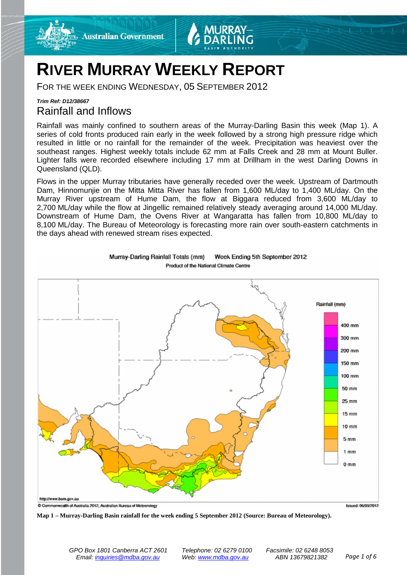



# **RIVER MURRAY WEEKLY REPORT**

FOR THE WEEK ENDING WEDNESDAY, 05 SEPTEMBER 2012

### *Trim Ref: D12/38667* Rainfall and Inflows

Rainfall was mainly confined to southern areas of the Murray-Darling Basin this week (Map 1). A series of cold fronts produced rain early in the week followed by a strong high pressure ridge which resulted in little or no rainfall for the remainder of the week. Precipitation was heaviest over the southeast ranges. Highest weekly totals include 62 mm at Falls Creek and 28 mm at Mount Buller. Lighter falls were recorded elsewhere including 17 mm at Drillham in the west Darling Downs in Queensland (QLD).

Flows in the upper Murray tributaries have generally receded over the week. Upstream of Dartmouth Dam, Hinnomunjie on the Mitta Mitta River has fallen from 1,600 ML/day to 1,400 ML/day. On the Murray River upstream of Hume Dam, the flow at Biggara reduced from 3,600 ML/day to 2,700 ML/day while the flow at Jingellic remained relatively steady averaging around 14,000 ML/day. Downstream of Hume Dam, the Ovens River at Wangaratta has fallen from 10,800 ML/day to 8,100 ML/day. The Bureau of Meteorology is forecasting more rain over south-eastern catchments in the days ahead with renewed stream rises expected.



Murray-Darling Rainfall Totals (mm) Week Ending 5th September 2012 Product of the National Climate Centre

**Map 1 – Murray-Darling Basin rainfall for the week ending 5 September 2012 (Source: Bureau of Meteorology).**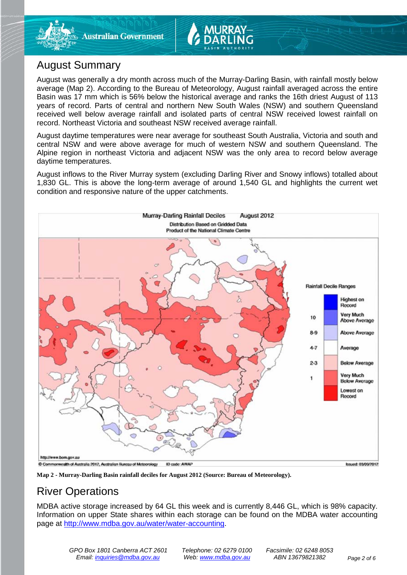

## August Summary

August was generally a dry month across much of the Murray-Darling Basin, with rainfall mostly below average (Map 2). According to the Bureau of Meteorology, August rainfall averaged across the entire Basin was 17 mm which is 56% below the historical average and ranks the 16th driest August of 113 years of record. Parts of central and northern New South Wales (NSW) and southern Queensland received well below average rainfall and isolated parts of central NSW received lowest rainfall on record. Northeast Victoria and southeast NSW received average rainfall.

August daytime temperatures were near average for southeast South Australia, Victoria and south and central NSW and were above average for much of western NSW and southern Queensland. The Alpine region in northeast Victoria and adjacent NSW was the only area to record below average daytime temperatures.

August inflows to the River Murray system (excluding Darling River and Snowy inflows) totalled about 1,830 GL. This is above the long-term average of around 1,540 GL and highlights the current wet condition and responsive nature of the upper catchments.



**Map 2 - Murray-Darling Basin rainfall deciles for August 2012 (Source: Bureau of Meteorology).**

# River Operations

MDBA active storage increased by 64 GL this week and is currently 8,446 GL, which is 98% capacity. Information on upper State shares within each storage can be found on the MDBA water accounting page at [http://www.mdba.gov.au/water/water-accounting.](http://www.mdba.gov.au/water/water-accounting)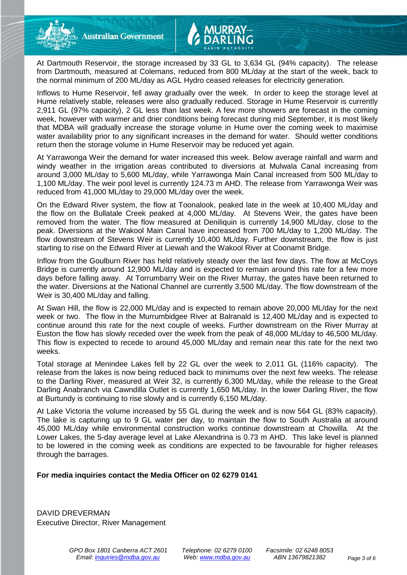

Inflows to Hume Reservoir, fell away gradually over the week. In order to keep the storage level at Hume relatively stable, releases were also gradually reduced. Storage in Hume Reservoir is currently 2,911 GL (97% capacity), 2 GL less than last week. A few more showers are forecast in the coming week, however with warmer and drier conditions being forecast during mid September, it is most likely that MDBA will gradually increase the storage volume in Hume over the coming week to maximise water availability prior to any significant increases in the demand for water. Should wetter conditions return then the storage volume in Hume Reservoir may be reduced yet again.

At Yarrawonga Weir the demand for water increased this week. Below average rainfall and warm and windy weather in the irrigation areas contributed to diversions at Mulwala Canal increasing from around 3,000 ML/day to 5,600 ML/day, while Yarrawonga Main Canal increased from 500 ML/day to 1,100 ML/day. The weir pool level is currently 124.73 m AHD. The release from Yarrawonga Weir was reduced from 41,000 ML/day to 29,000 ML/day over the week.

On the Edward River system, the flow at Toonalook, peaked late in the week at 10,400 ML/day and the flow on the Bullatale Creek peaked at 4,000 ML/day. At Stevens Weir, the gates have been removed from the water. The flow measured at Deniliquin is currently 14,900 ML/day, close to the peak. Diversions at the Wakool Main Canal have increased from 700 ML/day to 1,200 ML/day. The flow downstream of Stevens Weir is currently 10,400 ML/day. Further downstream, the flow is just starting to rise on the Edward River at Liewah and the Wakool River at Coonamit Bridge.

Inflow from the Goulburn River has held relatively steady over the last few days. The flow at McCoys Bridge is currently around 12,900 ML/day and is expected to remain around this rate for a few more days before falling away. At Torrumbarry Weir on the River Murray, the gates have been returned to the water. Diversions at the National Channel are currently 3,500 ML/day. The flow downstream of the Weir is 30,400 ML/day and falling.

At Swan Hill, the flow is 22,000 ML/day and is expected to remain above 20,000 ML/day for the next week or two. The flow in the Murrumbidgee River at Balranald is 12,400 ML/day and is expected to continue around this rate for the next couple of weeks. Further downstream on the River Murray at Euston the flow has slowly receded over the week from the peak of 48,000 ML/day to 46,500 ML/day. This flow is expected to recede to around 45,000 ML/day and remain near this rate for the next two weeks.

Total storage at Menindee Lakes fell by 22 GL over the week to 2,011 GL (116% capacity). The release from the lakes is now being reduced back to minimums over the next few weeks. The release to the Darling River, measured at Weir 32, is currently 6,300 ML/day, while the release to the Great Darling Anabranch via Cawndilla Outlet is currently 1,650 ML/day. In the lower Darling River, the flow at Burtundy is continuing to rise slowly and is currently 6,150 ML/day.

At Lake Victoria the volume increased by 55 GL during the week and is now 564 GL (83% capacity). The lake is capturing up to 9 GL water per day, to maintain the flow to South Australia at around 45,000 ML/day while environmental construction works continue downstream at Chowilla. At the Lower Lakes, the 5-day average level at Lake Alexandrina is 0.73 m AHD. This lake level is planned to be lowered in the coming week as conditions are expected to be favourable for higher releases through the barrages.

#### **For media inquiries contact the Media Officer on 02 6279 0141**

DAVID DREVERMAN Executive Director, River Management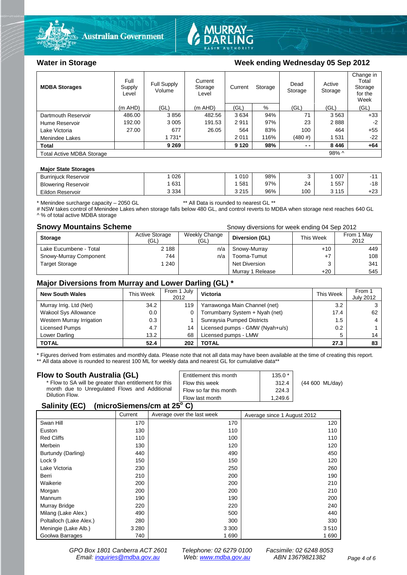



#### Water in Storage Week ending Wednesday 05 Sep 2012

| <b>MDBA Storages</b>                         | Full<br>Supply<br>Level | Full Supply<br>Volume | Current<br>Storage<br>Level | Current<br>Storage |      | Dead<br>Storage | Active<br>Storage | Change in<br>Total<br>Storage<br>for the<br>Week |
|----------------------------------------------|-------------------------|-----------------------|-----------------------------|--------------------|------|-----------------|-------------------|--------------------------------------------------|
|                                              | $(m$ AHD)               | (GL)                  | $(m$ AHD)                   | (GL)               | %    | (GL)            | (GL)              | (GL)                                             |
| Dartmouth Reservoir                          | 486.00                  | 3856                  | 482.56                      | 3634               | 94%  | 71              | 3563              | $+33$                                            |
| Hume Reservoir                               | 192.00                  | 3 0 0 5               | 191.53                      | 2911               | 97%  | 23              | 2888              | -2                                               |
| Lake Victoria                                | 27.00                   | 677                   | 26.05                       | 564                | 83%  | 100             | 464               | $+55$                                            |
| Menindee Lakes                               |                         | 1 7 3 1 *             |                             | 2 0 1 1            | 116% | (480#)          | 1531              | $-22$                                            |
| <b>Total</b>                                 |                         | 9 2 6 9               |                             | 9 1 2 0            | 98%  | $ -$            | 8446              | $+64$                                            |
| $98\%$ ^<br><b>Total Active MDBA Storage</b> |                         |                       |                             |                    |      |                 |                   |                                                  |

#### **Major State Storages**

| <b>Burrinjuck Reservoir</b> | 026     | 010     | 98% |     | 007 |       |
|-----------------------------|---------|---------|-----|-----|-----|-------|
| <b>Blowering Reservoir</b>  | 631     | 581     | 97% | 24  | 557 | $-18$ |
| Eildon Reservoir            | 3 3 3 4 | 3 2 1 5 | 96% | 100 | 115 | +23   |

\* Menindee surcharge capacity – 2050 GL \*\* All Data is rounded to nearest GL \*\*

# NSW takes control of Menindee Lakes when storage falls below 480 GL, and control reverts to MDBA when storage next reaches 640 GL A % of total active MDBA storage

**Snowy Mountains Scheme Snowy diversions for week ending 04 Sep 2012** 

| <b>Storage</b>         | <b>Active Storage</b><br>(GL) | Weekly Change<br>(GL) | Diversion (GL)       | This Week | From 1 May<br>2012 |
|------------------------|-------------------------------|-----------------------|----------------------|-----------|--------------------|
| Lake Eucumbene - Total | 2 1 8 8                       | n/a                   | Snowy-Murray         | $+10$     | 449                |
| Snowy-Murray Component | 744                           | n/a                   | Tooma-Tumut          |           | 108                |
| <b>Target Storage</b>  | 1 240                         |                       | <b>Net Diversion</b> |           | 341                |
|                        |                               |                       | Murray 1 Release     | $+20$     | 545                |

#### **Major Diversions from Murray and Lower Darling (GL) \***

| <b>New South Wales</b>    | This Week | From 1 July<br>2012 | Victoria                        | This Week | From 1<br><b>July 2012</b> |
|---------------------------|-----------|---------------------|---------------------------------|-----------|----------------------------|
| Murray Irrig. Ltd (Net)   | 34.2      | 119                 | Yarrawonga Main Channel (net)   | 3.2       |                            |
| Wakool Sys Allowance      | 0.0       |                     | Torrumbarry System + Nyah (net) | 17.4      | 62                         |
| Western Murray Irrigation | 0.3       |                     | Sunraysia Pumped Districts      | 1.5       |                            |
| Licensed Pumps            | 4.7       | 14                  | Licensed pumps - GMW (Nyah+u/s) | 0.2       |                            |
| Lower Darling             | 13.2      | 68                  | Licensed pumps - LMW            | 5         | 14                         |
| <b>TOTAL</b>              | 52.4      | 202                 | TOTAL                           | 27.3      | 83                         |

\* Figures derived from estimates and monthly data. Please note that not all data may have been available at the time of creating this report.

\*\* All data above is rounded to nearest 100 ML for weekly data and nearest GL for cumulative data\*\*

| Flow to South Australia (GL)                              | Entitlement this month | $135.0*$ |                 |  |  |
|-----------------------------------------------------------|------------------------|----------|-----------------|--|--|
| * Flow to SA will be greater than entitlement for this    | Flow this week         | 312.4    | (44 600 ML/day) |  |  |
| month due to Unregulated Flows and Additional             | Flow so far this month | 224.3    |                 |  |  |
| Dilution Flow.                                            | Flow last month        | 1.249.6  |                 |  |  |
| $\mathbf{A}$ , $\mathbf{B}$ , $\mathbf{A}$ , $\mathbf{B}$ |                        |          |                 |  |  |

#### **Salinity (EC) (microSiemens/cm at 25o C)**

|                         | Current | Average over the last week | Average since 1 August 2012 |
|-------------------------|---------|----------------------------|-----------------------------|
| Swan Hill               | 170     | 170                        | 120                         |
| Euston                  | 130     | 110                        | 110                         |
| <b>Red Cliffs</b>       | 110     | 100                        | 110                         |
| Merbein                 | 130     | 120                        | 120                         |
| Burtundy (Darling)      | 440     | 490                        | 450                         |
| Lock 9                  | 150     | 150                        | 120                         |
| Lake Victoria           | 230     | 250                        | 260                         |
| Berri                   | 210     | 200                        | 190                         |
| Waikerie                | 200     | 200                        | 210                         |
| Morgan                  | 200     | 200                        | 210                         |
| Mannum                  | 190     | 190                        | 200                         |
| Murray Bridge           | 220     | 220                        | 240                         |
| Milang (Lake Alex.)     | 490     | 500                        | 440                         |
| Poltalloch (Lake Alex.) | 280     | 300                        | 330                         |
| Meningie (Lake Alb.)    | 3 2 8 0 | 3 3 0 0                    | 3510                        |
| Goolwa Barrages         | 740     | 1 6 9 0                    | 1 690                       |

*GPO Box 1801 Canberra ACT 2601 Telephone: 02 6279 0100 Facsimile: 02 6248 8053 Email: [inquiries@mdba.gov.au](mailto:inquiries@mdba.gov.au) Web: [www.mdba.gov.au](http://www.mdba.gov.au/) ABN 13679821382 Page 4 of 6*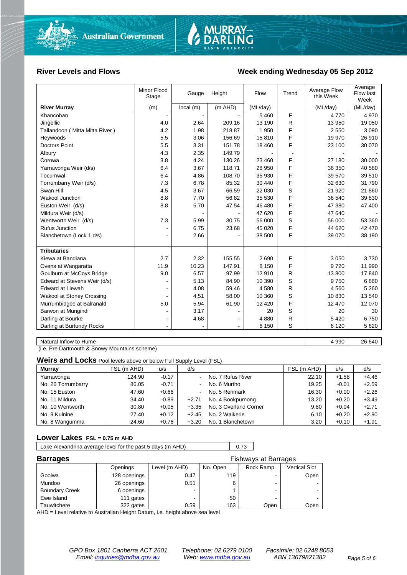

#### River Levels and Flows **Week ending Wednesday 05 Sep 2012**

|                                  | Minor Flood<br>Stage | Gauge     | Height         | Flow     | Trend | Average Flow<br>this Week | Average<br>Flow last<br>Week |
|----------------------------------|----------------------|-----------|----------------|----------|-------|---------------------------|------------------------------|
| <b>River Murray</b>              | (m)                  | local (m) | (m AHD)        | (ML/day) |       | (ML/day)                  | (ML/day)                     |
| Khancoban                        | $\blacksquare$       |           |                | 5 4 6 0  | F     | 4770                      | 4 9 7 0                      |
| Jingellic                        | 4.0                  | 2.64      | 209.16         | 13 190   | R     | 13 950                    | 19 050                       |
| Tallandoon (Mitta Mitta River)   | 4.2                  | 1.98      | 218.87         | 1 9 5 0  | F     | 2 5 5 0                   | 3 0 9 0                      |
| Heywoods                         | 5.5                  | 3.06      | 156.69         | 15810    | F     | 19 970                    | 26 910                       |
| <b>Doctors Point</b>             | 5.5                  | 3.31      | 151.78         | 18 460   | F     | 23 100                    | 30 070                       |
| Albury                           | 4.3                  | 2.35      | 149.79         |          |       |                           |                              |
| Corowa                           | 3.8                  | 4.24      | 130.26         | 23 460   | F     | 27 180                    | 30 000                       |
| Yarrawonga Weir (d/s)            | 6.4                  | 3.67      | 118.71         | 28 950   | F     | 36 350                    | 40 580                       |
| Tocumwal                         | 6.4                  | 4.86      | 108.70         | 35 930   | F     | 39 570                    | 39 510                       |
| Torrumbarry Weir (d/s)           | 7.3                  | 6.78      | 85.32          | 30 440   | F     | 32 630                    | 31 790                       |
| Swan Hill                        | 4.5                  | 3.67      | 66.59          | 22 030   | S     | 21 920                    | 21 860                       |
| <b>Wakool Junction</b>           | 8.8                  | 7.70      | 56.82          | 35 530   | F     | 36 540                    | 39 830                       |
| Euston Weir (d/s)                | 8.8                  | 5.70      | 47.54          | 46 480   | F     | 47 380                    | 47 400                       |
| Mildura Weir (d/s)               |                      |           |                | 47 620   | F     | 47 640                    |                              |
| Wentworth Weir (d/s)             | 7.3                  | 5.99      | 30.75          | 56 000   | S     | 56 000                    | 53 360                       |
| <b>Rufus Junction</b>            |                      | 6.75      | 23.68          | 45 0 20  | F     | 44 620                    | 42 470                       |
| Blanchetown (Lock 1 d/s)         | ۰                    | 2.66      |                | 38 500   | F     | 39 0 70                   | 38 190                       |
|                                  |                      |           |                |          |       |                           |                              |
| <b>Tributaries</b>               |                      |           |                |          |       |                           |                              |
| Kiewa at Bandiana                | 2.7                  | 2.32      | 155.55         | 2690     | F     | 3 0 5 0                   | 3730                         |
| Ovens at Wangaratta              | 11.9                 | 10.23     | 147.91         | 8 1 5 0  | F     | 9720                      | 11 990                       |
| Goulburn at McCoys Bridge        | 9.0                  | 6.57      | 97.99          | 12 910   | R     | 13 800                    | 17840                        |
| Edward at Stevens Weir (d/s)     |                      | 5.13      | 84.90          | 10 390   | S     | 9750                      | 6860                         |
| <b>Edward at Liewah</b>          |                      | 4.08      | 59.46          | 4580     | R     | 4 5 6 0                   | 5 2 6 0                      |
| <b>Wakool at Stoney Crossing</b> |                      | 4.51      | 58.00          | 10 360   | S     | 10830                     | 13 540                       |
| Murrumbidgee at Balranald        | 5.0                  | 5.94      | 61.90          | 12 4 20  | F     | 12 470                    | 12 070                       |
| Barwon at Mungindi               |                      | 3.17      |                | 20       | S     | 20                        | 30                           |
| Darling at Bourke                | $\sim$               | 4.68      |                | 4880     | R     | 5 4 20                    | 6750                         |
| Darling at Burtundy Rocks        | ۰                    |           | $\blacksquare$ | 6 150    | S     | 6 1 2 0                   | 5 6 20                       |
|                                  |                      |           |                |          |       |                           |                              |
| Natural Inflow to Hume           |                      |           |                |          |       | 4 9 9 0                   | 26 640                       |

(i.e. Pre Dartmouth & Snowy Mountains scheme)

**Weirs and Locks** Pool levels above or below Full Supply Level (FSL)

| <b>Murrav</b>      | FSL (m AHD) | u/s     | d/s     |                       | FSL (m AHD) | u/s     | d/s     |
|--------------------|-------------|---------|---------|-----------------------|-------------|---------|---------|
| Yarrawonga         | 124.90      | $-0.17$ | $\sim$  | No. 7 Rufus River     | 22.10       | $+1.58$ | $+4.46$ |
| No. 26 Torrumbarry | 86.05       | $-0.71$ | $\sim$  | No. 6 Murtho          | 19.25       | $-0.01$ | $+2.59$ |
| No. 15 Euston      | 47.60       | $+0.66$ | ۰.      | No. 5 Renmark         | 16.30       | $+0.00$ | $+2.26$ |
| No. 11 Mildura     | 34.40       | $-0.89$ | $+2.71$ | No. 4 Bookpurnong     | 13.20       | $+0.20$ | $+3.49$ |
| No. 10 Wentworth   | 30.80       | $+0.05$ | $+3.35$ | No. 3 Overland Corner | 9.80        | $+0.04$ | $+2.71$ |
| No. 9 Kulnine      | 27.40       | $+0.12$ | $+2.45$ | No. 2 Waikerie        | 6.10        | $+0.20$ | $+2.90$ |
| No. 8 Wangumma     | 24.60       | $+0.76$ | $+3.20$ | No. 1 Blanchetown     | 3.20        | $+0.10$ | $+1.91$ |

#### **Lower Lakes FSL = 0.75 m AHD**

Lake Alexandrina average level for the past 5 days (m AHD) 0.73

| <b>Barrages</b>       | <b>Fishways at Barrages</b> |               |          |           |               |  |
|-----------------------|-----------------------------|---------------|----------|-----------|---------------|--|
|                       | Openings                    | Level (m AHD) | No. Open | Rock Ramp | Vertical Slot |  |
| Goolwa                | 128 openings                | 0.47          | 119      |           | Open          |  |
| Mundoo                | 26 openings                 | 0.51          | 6        | -         |               |  |
| <b>Boundary Creek</b> | 6 openings                  |               |          |           | $\sim$        |  |
| Ewe Island            | 111 gates                   |               | 50       |           |               |  |
| Tauwitchere           | 322 gates                   | 0.59          | 163      | Open      | Open          |  |

AHD = Level relative to Australian Height Datum, i.e. height above sea level